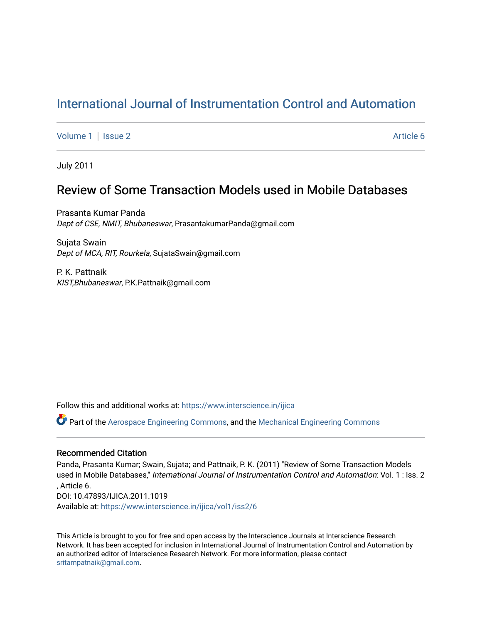# [International Journal of Instrumentation Control and Automation](https://www.interscience.in/ijica)

[Volume 1](https://www.interscience.in/ijica/vol1) | [Issue 2](https://www.interscience.in/ijica/vol1/iss2) Article 6

July 2011

## Review of Some Transaction Models used in Mobile Databases

Prasanta Kumar Panda Dept of CSE, NMIT, Bhubaneswar, PrasantakumarPanda@gmail.com

Sujata Swain Dept of MCA, RIT, Rourkela, SujataSwain@gmail.com

P. K. Pattnaik KIST,Bhubaneswar, P.K.Pattnaik@gmail.com

Follow this and additional works at: [https://www.interscience.in/ijica](https://www.interscience.in/ijica?utm_source=www.interscience.in%2Fijica%2Fvol1%2Fiss2%2F6&utm_medium=PDF&utm_campaign=PDFCoverPages) 

Part of the [Aerospace Engineering Commons](http://network.bepress.com/hgg/discipline/218?utm_source=www.interscience.in%2Fijica%2Fvol1%2Fiss2%2F6&utm_medium=PDF&utm_campaign=PDFCoverPages), and the [Mechanical Engineering Commons](http://network.bepress.com/hgg/discipline/293?utm_source=www.interscience.in%2Fijica%2Fvol1%2Fiss2%2F6&utm_medium=PDF&utm_campaign=PDFCoverPages) 

## Recommended Citation

Panda, Prasanta Kumar; Swain, Sujata; and Pattnaik, P. K. (2011) "Review of Some Transaction Models used in Mobile Databases," International Journal of Instrumentation Control and Automation: Vol. 1 : Iss. 2 , Article 6. DOI: 10.47893/IJICA.2011.1019 Available at: [https://www.interscience.in/ijica/vol1/iss2/6](https://www.interscience.in/ijica/vol1/iss2/6?utm_source=www.interscience.in%2Fijica%2Fvol1%2Fiss2%2F6&utm_medium=PDF&utm_campaign=PDFCoverPages) 

This Article is brought to you for free and open access by the Interscience Journals at Interscience Research Network. It has been accepted for inclusion in International Journal of Instrumentation Control and Automation by an authorized editor of Interscience Research Network. For more information, please contact [sritampatnaik@gmail.com](mailto:sritampatnaik@gmail.com).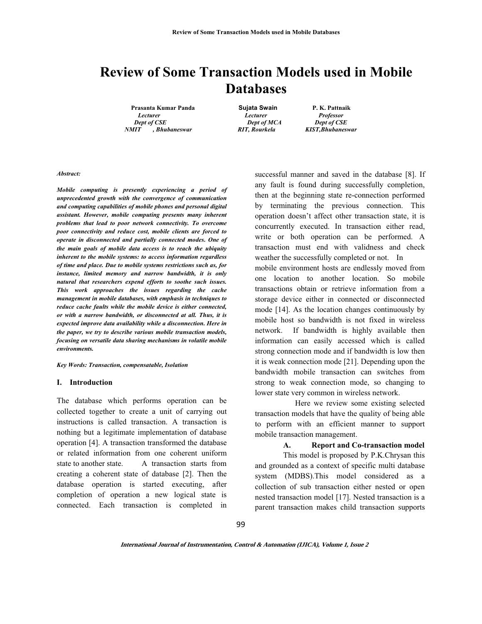# **Review of Some Transaction Models used in Mobile Databases**

*Lecturer Lecturer Professor Dept of CSE Dept of MCA Dept of CSE NMIT , Bhubaneswar RIT, Rourkela KIST,Bhubaneswar* 

**Prasanta Kumar Panda Sujata Swain P. K. Pattnaik** 

#### *Abstract:*

*Mobile computing is presently experiencing a period of unprecedented growth with the convergence of communication and computing capabilities of mobile phones and personal digital assistant. However, mobile computing presents many inherent problems that lead to poor network connectivity. To overcome poor connectivity and reduce cost, mobile clients are forced to operate in disconnected and partially connected modes. One of the main goals of mobile data access is to reach the ubiquity inherent to the mobile systems: to access information regardless of time and place. Due to mobile systems restrictions such as, for instance, limited memory and narrow bandwidth, it is only natural that researchers expend efforts to soothe such issues. This work approaches the issues regarding the cache management in mobile databases, with emphasis in techniques to reduce cache faults while the mobile device is either connected, or with a narrow bandwidth, or disconnected at all. Thus, it is expected improve data availability while a disconnection. Here in the paper, we try to describe various mobile transaction models, focusing on versatile data sharing mechanisms in volatile mobile environments.* 

*Key Words: Transaction, compensatable, Isolation* 

#### **I. Introduction**

The database which performs operation can be collected together to create a unit of carrying out instructions is called transaction. A transaction is nothing but a legitimate implementation of database operation [4]. A transaction transformed the database or related information from one coherent uniform state to another state. A transaction starts from creating a coherent state of database [2]. Then the database operation is started executing, after completion of operation a new logical state is connected. Each transaction is completed in

successful manner and saved in the database [8]. If any fault is found during successfully completion, then at the beginning state re-connection performed by terminating the previous connection. This operation doesn't affect other transaction state, it is concurrently executed. In transaction either read, write or both operation can be performed. A transaction must end with validness and check weather the successfully completed or not. In

mobile environment hosts are endlessly moved from one location to another location. So mobile transactions obtain or retrieve information from a storage device either in connected or disconnected mode [14]. As the location changes continuously by mobile host so bandwidth is not fixed in wireless network. If bandwidth is highly available then information can easily accessed which is called strong connection mode and if bandwidth is low then it is weak connection mode [21]. Depending upon the bandwidth mobile transaction can switches from strong to weak connection mode, so changing to lower state very common in wireless network.

 Here we review some existing selected transaction models that have the quality of being able to perform with an efficient manner to support mobile transaction management.

#### **A. Report and Co-transaction model**

This model is proposed by P.K.Chrysan this and grounded as a context of specific multi database system (MDBS).This model considered as a collection of sub transaction either nested or open nested transaction model [17]. Nested transaction is a parent transaction makes child transaction supports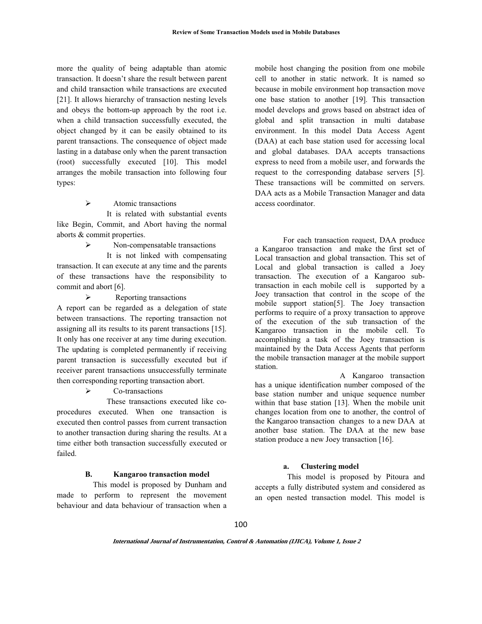more the quality of being adaptable than atomic transaction. It doesn't share the result between parent and child transaction while transactions are executed [21]. It allows hierarchy of transaction nesting levels and obeys the bottom-up approach by the root i.e. when a child transaction successfully executed, the object changed by it can be easily obtained to its parent transactions. The consequence of object made lasting in a database only when the parent transaction (root) successfully executed [10]. This model arranges the mobile transaction into following four types:

 $\triangleright$  Atomic transactions

 It is related with substantial events like Begin, Commit, and Abort having the normal aborts & commit properties.

 $\triangleright$  Non-compensatable transactions

 It is not linked with compensating transaction. It can execute at any time and the parents of these transactions have the responsibility to commit and abort [6].

 $\triangleright$  Reporting transactions A report can be regarded as a delegation of state between transactions. The reporting transaction not assigning all its results to its parent transactions [15]. It only has one receiver at any time during execution. The updating is completed permanently if receiving parent transaction is successfully executed but if receiver parent transactions unsuccessfully terminate then corresponding reporting transaction abort.

Co-transactions

 These transactions executed like coprocedures executed. When one transaction is executed then control passes from current transaction to another transaction during sharing the results. At a time either both transaction successfully executed or failed.

#### **B. Kangaroo transaction model**

 This model is proposed by Dunham and made to perform to represent the movement behaviour and data behaviour of transaction when a

mobile host changing the position from one mobile cell to another in static network. It is named so because in mobile environment hop transaction move one base station to another [19]. This transaction model develops and grows based on abstract idea of global and split transaction in multi database environment. In this model Data Access Agent (DAA) at each base station used for accessing local and global databases. DAA accepts transactions express to need from a mobile user, and forwards the request to the corresponding database servers [5]. These transactions will be committed on servers. DAA acts as a Mobile Transaction Manager and data access coordinator.

For each transaction request, DAA produce a Kangaroo transaction and make the first set of Local transaction and global transaction. This set of Local and global transaction is called a Joey transaction. The execution of a Kangaroo sub-<br>transaction in each mobile cell is supported by a transaction in each mobile cell is Joey transaction that control in the scope of the mobile support station[5]. The Joey transaction performs to require of a proxy transaction to approve of the execution of the sub transaction of the Kangaroo transaction in the mobile cell. To accomplishing a task of the Joey transaction is maintained by the Data Access Agents that perform the mobile transaction manager at the mobile support station.

 A Kangaroo transaction has a unique identification number composed of the base station number and unique sequence number within that base station [13]. When the mobile unit changes location from one to another, the control of the Kangaroo transaction changes to a new DAA at another base station. The DAA at the new base station produce a new Joey transaction [16].

### **a. Clustering model**

 This model is proposed by Pitoura and accepts a fully distributed system and considered as an open nested transaction model. This model is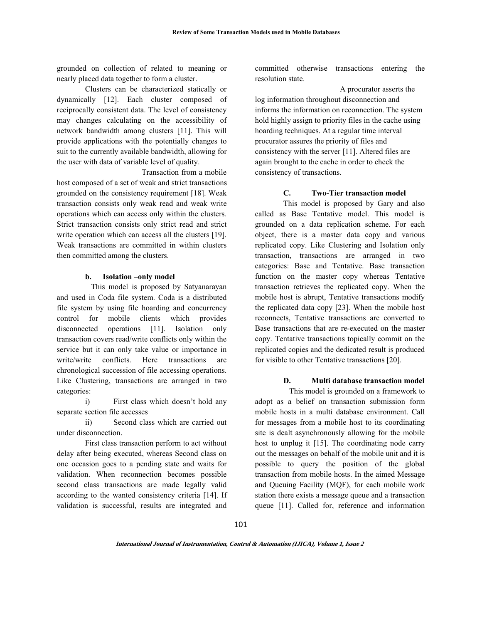grounded on collection of related to meaning or nearly placed data together to form a cluster.

Clusters can be characterized statically or dynamically [12]. Each cluster composed of reciprocally consistent data. The level of consistency may changes calculating on the accessibility of network bandwidth among clusters [11]. This will provide applications with the potentially changes to suit to the currently available bandwidth, allowing for the user with data of variable level of quality.

 Transaction from a mobile host composed of a set of weak and strict transactions grounded on the consistency requirement [18]. Weak transaction consists only weak read and weak write operations which can access only within the clusters. Strict transaction consists only strict read and strict write operation which can access all the clusters [19]. Weak transactions are committed in within clusters then committed among the clusters.

#### **b. Isolation –only model**

This model is proposed by Satyanarayan and used in Coda file system. Coda is a distributed file system by using file hoarding and concurrency control for mobile clients which provides disconnected operations [11]. Isolation only transaction covers read/write conflicts only within the service but it can only take value or importance in write/write conflicts. Here transactions are chronological succession of file accessing operations. Like Clustering, transactions are arranged in two categories:

i) First class which doesn't hold any separate section file accesses

ii) Second class which are carried out under disconnection.

First class transaction perform to act without delay after being executed, whereas Second class on one occasion goes to a pending state and waits for validation. When reconnection becomes possible second class transactions are made legally valid according to the wanted consistency criteria [14]. If validation is successful, results are integrated and

committed otherwise transactions entering the resolution state.

 A procurator asserts the log information throughout disconnection and informs the information on reconnection. The system hold highly assign to priority files in the cache using hoarding techniques. At a regular time interval procurator assures the priority of files and consistency with the server [11]. Altered files are again brought to the cache in order to check the consistency of transactions.

#### **C. Two-Tier transaction model**

This model is proposed by Gary and also called as Base Tentative model. This model is grounded on a data replication scheme. For each object, there is a master data copy and various replicated copy. Like Clustering and Isolation only transaction, transactions are arranged in two categories: Base and Tentative. Base transaction function on the master copy whereas Tentative transaction retrieves the replicated copy. When the mobile host is abrupt, Tentative transactions modify the replicated data copy [23]. When the mobile host reconnects, Tentative transactions are converted to Base transactions that are re-executed on the master copy. Tentative transactions topically commit on the replicated copies and the dedicated result is produced for visible to other Tentative transactions [20].

#### **D. Multi database transaction model**

 This model is grounded on a framework to adopt as a belief on transaction submission form mobile hosts in a multi database environment. Call for messages from a mobile host to its coordinating site is dealt asynchronously allowing for the mobile host to unplug it [15]. The coordinating node carry out the messages on behalf of the mobile unit and it is possible to query the position of the global transaction from mobile hosts. In the aimed Message and Queuing Facility (MQF), for each mobile work station there exists a message queue and a transaction queue [11]. Called for, reference and information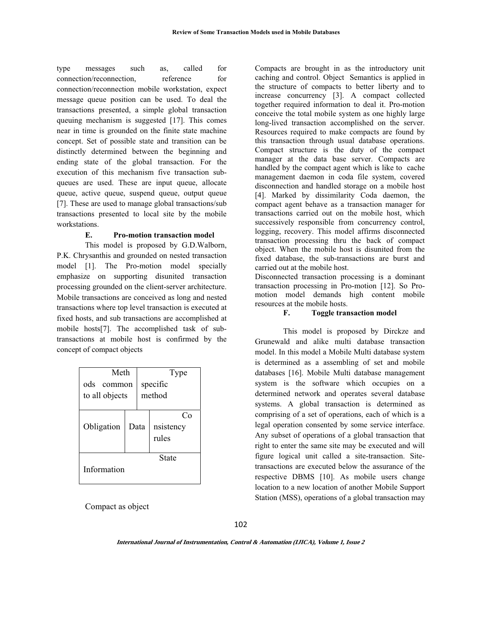type messages such as, called for connection/reconnection, reference for connection/reconnection mobile workstation, expect message queue position can be used. To deal the transactions presented, a simple global transaction queuing mechanism is suggested [17]. This comes near in time is grounded on the finite state machine concept. Set of possible state and transition can be distinctly determined between the beginning and ending state of the global transaction. For the execution of this mechanism five transaction subqueues are used. These are input queue, allocate queue, active queue, suspend queue, output queue [7]. These are used to manage global transactions/sub transactions presented to local site by the mobile workstations.

#### **E. Pro-motion transaction model**

This model is proposed by G.D.Walborn, P.K. Chrysanthis and grounded on nested transaction model [1]. The Pro-motion model specially emphasize on supporting disunited transaction processing grounded on the client-server architecture. Mobile transactions are conceived as long and nested transactions where top level transaction is executed at fixed hosts, and sub transactions are accomplished at mobile hosts[7]. The accomplished task of subtransactions at mobile host is confirmed by the concept of compact objects

| Meth                            |      | Type               |                         |  |  |
|---------------------------------|------|--------------------|-------------------------|--|--|
| ods<br>common<br>to all objects |      | specific<br>method |                         |  |  |
| Obligation                      | Data |                    | െ<br>nsistency<br>rules |  |  |
| Information                     |      |                    | State                   |  |  |

Compact as object

Compacts are brought in as the introductory unit caching and control. Object Semantics is applied in the structure of compacts to better liberty and to increase concurrency [3]. A compact collected together required information to deal it. Pro-motion conceive the total mobile system as one highly large long-lived transaction accomplished on the server. Resources required to make compacts are found by this transaction through usual database operations. Compact structure is the duty of the compact manager at the data base server. Compacts are handled by the compact agent which is like to cache management daemon in coda file system, covered disconnection and handled storage on a mobile host [4]. Marked by dissimilarity Coda daemon, the compact agent behave as a transaction manager for transactions carried out on the mobile host, which successively responsible from concurrency control, logging, recovery. This model affirms disconnected transaction processing thru the back of compact object. When the mobile host is disunited from the fixed database, the sub-transactions are burst and carried out at the mobile host.

Disconnected transaction processing is a dominant transaction processing in Pro-motion [12]. So Promotion model demands high content mobile resources at the mobile hosts.

#### **F. Toggle transaction model**

This model is proposed by Dirckze and Grunewald and alike multi database transaction model. In this model a Mobile Multi database system is determined as a assembling of set and mobile databases [16]. Mobile Multi database management system is the software which occupies on a determined network and operates several database systems. A global transaction is determined as comprising of a set of operations, each of which is a legal operation consented by some service interface. Any subset of operations of a global transaction that right to enter the same site may be executed and will figure logical unit called a site-transaction. Sitetransactions are executed below the assurance of the respective DBMS [10]. As mobile users change location to a new location of another Mobile Support Station (MSS), operations of a global transaction may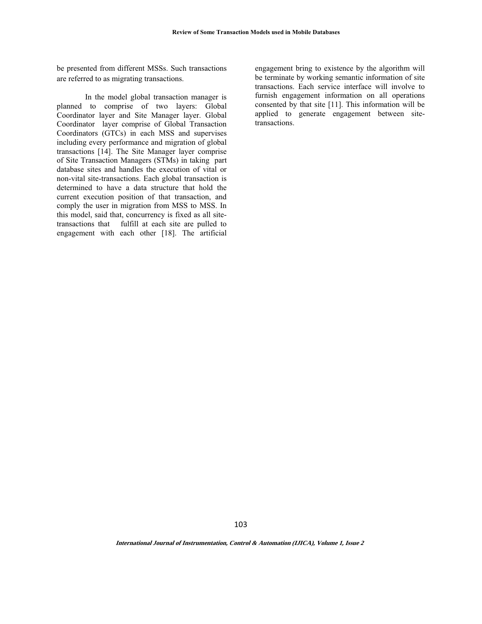be presented from different MSSs. Such transactions are referred to as migrating transactions.

In the model global transaction manager is planned to comprise of two layers: Global Coordinator layer and Site Manager layer. Global Coordinator layer comprise of Global Transaction Coordinators (GTCs) in each MSS and supervises including every performance and migration of global transactions [14]. The Site Manager layer comprise of Site Transaction Managers (STMs) in taking part database sites and handles the execution of vital or non-vital site-transactions. Each global transaction is determined to have a data structure that hold the current execution position of that transaction, and comply the user in migration from MSS to MSS. In this model, said that, concurrency is fixed as all sitetransactions that fulfill at each site are pulled to engagement with each other [18]. The artificial

engagement bring to existence by the algorithm will be terminate by working semantic information of site transactions. Each service interface will involve to furnish engagement information on all operations consented by that site [11]. This information will be applied to generate engagement between sitetransactions.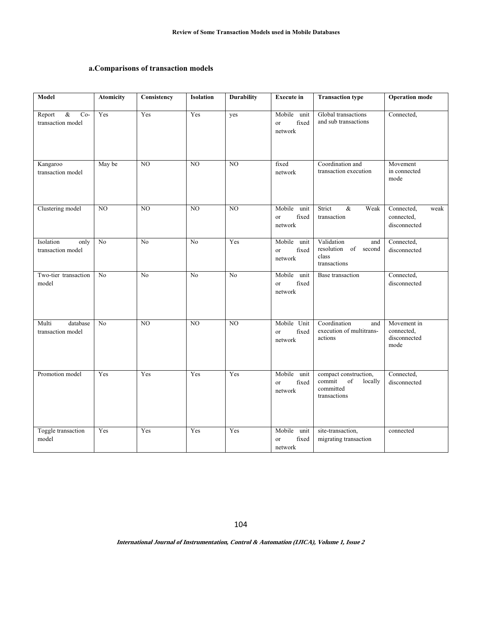## **a.Comparisons of transaction models**

| Model                                        | <b>Atomicity</b> | Consistency     | <b>Isolation</b> | <b>Durability</b> | <b>Execute</b> in                                | <b>Transaction type</b>                                                          | <b>Operation mode</b>                             |
|----------------------------------------------|------------------|-----------------|------------------|-------------------|--------------------------------------------------|----------------------------------------------------------------------------------|---------------------------------------------------|
| $\&$<br>$Co-$<br>Report<br>transaction model | Yes              | Yes             | Yes              | yes               | Mobile unit<br>fixed<br><sub>or</sub><br>network | Global transactions<br>and sub transactions                                      | Connected,                                        |
| Kangaroo<br>transaction model                | May be           | $\overline{NO}$ | $\overline{NO}$  | $\overline{NO}$   | fixed<br>network                                 | Coordination and<br>transaction execution                                        | Movement<br>in connected<br>mode                  |
| Clustering model                             | NO               | NO              | NO               | NO                | Mobile<br>unit<br>fixed<br><b>or</b><br>network  | Strict<br>$\&$<br>Weak<br>transaction                                            | Connected,<br>weak<br>connected,<br>disconnected  |
| Isolation<br>only<br>transaction model       | No               | No              | N <sub>0</sub>   | Yes               | Mobile unit<br>fixed<br><sub>or</sub><br>network | Validation<br>and<br>$\sigma$ f<br>resolution<br>second<br>class<br>transactions | Connected,<br>disconnected                        |
| Two-tier transaction<br>model                | N <sub>o</sub>   | N <sub>o</sub>  | N <sub>0</sub>   | N <sub>0</sub>    | Mobile unit<br>fixed<br><sub>or</sub><br>network | Base transaction                                                                 | Connected,<br>disconnected                        |
| Multi<br>database<br>transaction model       | No               | NO              | $\overline{NO}$  | $\overline{NO}$   | Mobile Unit<br>fixed<br><b>or</b><br>network     | Coordination<br>and<br>execution of multitrans-<br>actions                       | Movement in<br>connected,<br>disconnected<br>mode |
| Promotion model                              | Yes              | Yes             | Yes              | Yes               | Mobile<br>unit<br>fixed<br>or<br>network         | compact construction,<br>commit<br>of<br>locally<br>committed<br>transactions    | Connected,<br>disconnected                        |
| Toggle transaction<br>model                  | Yes              | Yes             | Yes              | Yes               | Mobile<br>unit<br>fixed<br>or<br>network         | site-transaction,<br>migrating transaction                                       | connected                                         |